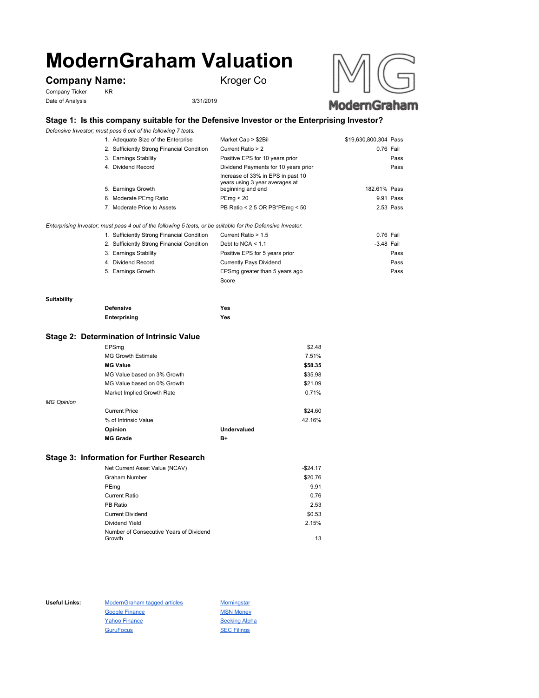# **ModernGraham Valuation**

# **Company Name:** Kroger Co

Company Ticker KR Date of Analysis 3/31/2019



## **Stage 1: Is this company suitable for the Defensive Investor or the Enterprising Investor?**

*Defensive Investor; must pass 6 out of the following 7 tests.*

| 1. Adequate Size of the Enterprise                                                                          | Market Cap > \$2Bil                                                                      | \$19,630,800,304 Pass |
|-------------------------------------------------------------------------------------------------------------|------------------------------------------------------------------------------------------|-----------------------|
| 2. Sufficiently Strong Financial Condition                                                                  | Current Ratio > 2                                                                        | 0.76 Fail             |
| 3. Earnings Stability                                                                                       | Positive EPS for 10 years prior                                                          | Pass                  |
| 4. Dividend Record                                                                                          | Dividend Payments for 10 years prior                                                     | Pass                  |
| 5. Earnings Growth                                                                                          | Increase of 33% in EPS in past 10<br>years using 3 year averages at<br>beginning and end | 182.61% Pass          |
| 6. Moderate PEmg Ratio                                                                                      | PEmq < 20                                                                                | 9.91 Pass             |
| 7. Moderate Price to Assets                                                                                 | PB Ratio < 2.5 OR PB*PEmg < 50                                                           | 2.53 Pass             |
| Enterprising Investor; must pass 4 out of the following 5 tests, or be suitable for the Defensive Investor. |                                                                                          |                       |

1. Sufficiently Strong Financial Condition Current Ratio > 1.5 0.76 Fail

| 2. Sufficiently Strong Financial Condition | Debt to NCA $< 1.1$            | $-3.48$ Fail |
|--------------------------------------------|--------------------------------|--------------|
| 3. Earnings Stability                      | Positive EPS for 5 years prior | Pass         |
| 4. Dividend Record                         | <b>Currently Pays Dividend</b> | Pass         |
| 5. Earnings Growth                         | EPSmg greater than 5 years ago | Pass         |
|                                            | Score                          |              |

#### **Suitability**

| <b>Defensive</b> | Yes |
|------------------|-----|
| Enterprising     | Yes |

#### **Stage 2: Determination of Intrinsic Value**

|                   | EPSmg                       |             | \$2.48  |
|-------------------|-----------------------------|-------------|---------|
|                   | <b>MG Growth Estimate</b>   |             | 7.51%   |
|                   | <b>MG Value</b>             |             | \$58.35 |
|                   | MG Value based on 3% Growth |             | \$35.98 |
|                   | MG Value based on 0% Growth |             | \$21.09 |
|                   | Market Implied Growth Rate  |             | 0.71%   |
| <b>MG Opinion</b> |                             |             |         |
|                   | <b>Current Price</b>        |             | \$24.60 |
|                   | % of Intrinsic Value        |             | 42.16%  |
|                   | Opinion                     | Undervalued |         |
|                   | <b>MG Grade</b>             | B+          |         |
|                   |                             |             |         |

### **Stage 3: Information for Further Research**

| Net Current Asset Value (NCAV)          | $-$24.17$ |
|-----------------------------------------|-----------|
| Graham Number                           | \$20.76   |
| PEmg                                    | 9.91      |
| Current Ratio                           | 0.76      |
| PB Ratio                                | 2.53      |
| <b>Current Dividend</b>                 | \$0.53    |
| Dividend Yield                          | 2.15%     |
| Number of Consecutive Years of Dividend |           |
| Growth                                  | 13        |

Useful Links: ModernGraham tagged articles Morningstar Google Finance MSN Money Yahoo Finance Seeking Alpha GuruFocus SEC Filings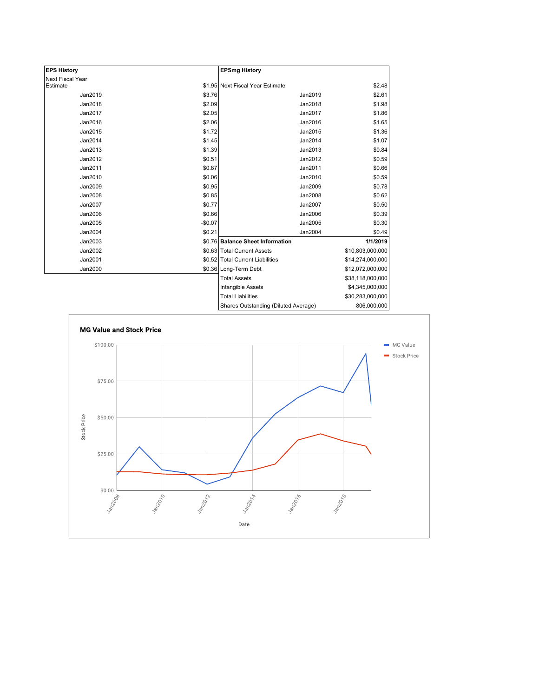| <b>EPS History</b>      |          | <b>EPSmg History</b>                 |                  |
|-------------------------|----------|--------------------------------------|------------------|
| <b>Next Fiscal Year</b> |          |                                      |                  |
| Estimate                |          | \$1.95 Next Fiscal Year Estimate     | \$2.48           |
| Jan2019                 | \$3.76   | Jan2019                              | \$2.61           |
| Jan2018                 | \$2.09   | Jan2018                              | \$1.98           |
| Jan2017                 | \$2.05   | Jan2017                              | \$1.86           |
| Jan2016                 | \$2.06   | Jan2016                              | \$1.65           |
| Jan2015                 | \$1.72   | Jan2015                              | \$1.36           |
| Jan2014                 | \$1.45   | Jan2014                              | \$1.07           |
| Jan2013                 | \$1.39   | Jan2013                              | \$0.84           |
| Jan2012                 | \$0.51   | Jan2012                              | \$0.59           |
| Jan2011                 | \$0.87   | Jan2011                              | \$0.66           |
| Jan2010                 | \$0.06   | Jan2010                              | \$0.59           |
| Jan2009                 | \$0.95   | Jan2009                              | \$0.78           |
| Jan2008                 | \$0.85   | Jan2008                              | \$0.62           |
| Jan2007                 | \$0.77   | Jan2007                              | \$0.50           |
| Jan2006                 | \$0.66   | Jan2006                              | \$0.39           |
| Jan2005                 | $-$0.07$ | Jan2005                              | \$0.30           |
| Jan2004                 | \$0.21   | Jan2004                              | \$0.49           |
| Jan2003                 |          | \$0.76 Balance Sheet Information     | 1/1/2019         |
| Jan2002                 |          | \$0.63 Total Current Assets          | \$10,803,000,000 |
| Jan2001                 |          | \$0.52 Total Current Liabilities     | \$14,274,000,000 |
| Jan2000                 |          | \$0.36 Long-Term Debt                | \$12,072,000,000 |
|                         |          | <b>Total Assets</b>                  | \$38,118,000,000 |
|                         |          | Intangible Assets                    | \$4,345,000,000  |
|                         |          | <b>Total Liabilities</b>             | \$30,283,000,000 |
|                         |          | Shares Outstanding (Diluted Average) | 806,000,000      |